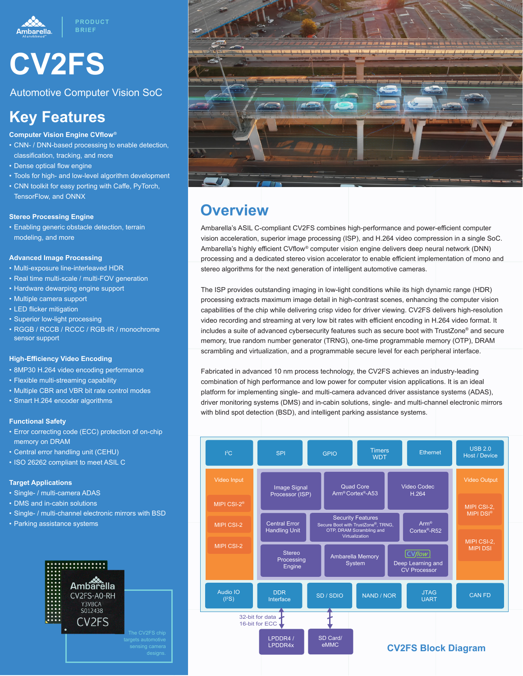

# **CV2FS**

Automotive Computer Vision SoC

# **Key Features**

- **Computer Vision Engine CVflow®**
- CNN- / DNN-based processing to enable detection, classification, tracking, and more
- Dense optical flow engine
- Tools for high- and low-level algorithm development
- CNN toolkit for easy porting with Caffe, PyTorch, TensorFlow, and ONNX

#### **Stereo Processing Engine**

• Enabling generic obstacle detection, terrain modeling, and more

#### **Advanced Image Processing**

- Multi-exposure line-interleaved HDR
- Real time multi-scale / multi-FOV generation
- Hardware dewarping engine support
- Multiple camera support
- LED flicker mitigation
- Superior low-light processing
- RGGB / RCCB / RCCC / RGB-IR / monochrome sensor support

#### **High-Efficiency Video Encoding**

- 8MP30 H.264 video encoding performance
- Flexible multi-streaming capability
- Multiple CBR and VBR bit rate control modes
- Smart H.264 encoder algorithms

#### **Functional Safety**

- Error correcting code (ECC) protection of on-chip memory on DRAM
- Central error handling unit (CEHU)
- ISO 26262 compliant to meet ASIL C

#### **Target Applications**

- Single- / multi-camera ADAS
- DMS and in-cabin solutions
- Single- / multi-channel electronic mirrors with BSD
- Parking assistance systems





### **Overview**

Ambarella's ASIL C-compliant CV2FS combines high-performance and power-efficient computer vision acceleration, superior image processing (ISP), and H.264 video compression in a single SoC. Ambarella's highly efficient CVflow® computer vision engine delivers deep neural network (DNN) processing and a dedicated stereo vision accelerator to enable efficient implementation of mono and stereo algorithms for the next generation of intelligent automotive cameras.

The ISP provides outstanding imaging in low-light conditions while its high dynamic range (HDR) processing extracts maximum image detail in high-contrast scenes, enhancing the computer vision capabilities of the chip while delivering crisp video for driver viewing. CV2FS delivers high-resolution video recording and streaming at very low bit rates with efficient encoding in H.264 video format. It includes a suite of advanced cybersecurity features such as secure boot with TrustZone® and secure memory, true random number generator (TRNG), one-time programmable memory (OTP), DRAM scrambling and virtualization, and a programmable secure level for each peripheral interface.

Fabricated in advanced 10 nm process technology, the CV2FS achieves an industry-leading combination of high performance and low power for computer vision applications. It is an ideal platform for implementing single- and multi-camera advanced driver assistance systems (ADAS), driver monitoring systems (DMS) and in-cabin solutions, single- and multi-channel electronic mirrors with blind spot detection (BSD), and intelligent parking assistance systems.